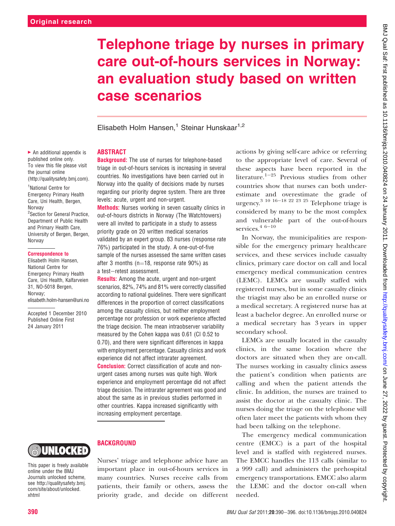# Telephone triage by nurses in primary care out-of-hours services in Norway: an evaluation study based on written case scenarios

Elisabeth Holm Hansen.<sup>1</sup> Steinar Hunskaar<sup>1,2</sup>

## ABSTRACT

**Background:** The use of nurses for telephone-based triage in out-of-hours services is increasing in several countries. No investigations have been carried out in Norway into the quality of decisions made by nurses regarding our priority degree system. There are three levels: acute, urgent and non-urgent.

**Methods:** Nurses working in seven casualty clinics in out-of-hours districts in Norway (The Watchtowers) were all invited to participate in a study to assess priority grade on 20 written medical scenarios validated by an expert group. 83 nurses (response rate 76%) participated in the study. A one-out-of-five sample of the nurses assessed the same written cases after 3 months ( $n=18$ , response rate 90%) as a test-retest assessment.

Results: Among the acute, urgent and non-urgent scenarios, 82%, 74% and 81% were correctly classified according to national guidelines. There were significant differences in the proportion of correct classifications among the casualty clinics, but neither employment percentage nor profession or work experience affected the triage decision. The mean intraobserver variability measured by the Cohen kappa was 0.61 (CI 0.52 to 0.70), and there were significant differences in kappa with employment percentage. Casualty clinics and work experience did not affect intrarater agreement. **Conclusion:** Correct classification of acute and nonurgent cases among nurses was quite high. Work experience and employment percentage did not affect triage decision. The intrarater agreement was good and about the same as in previous studies performed in other countries. Kappa increased significantly with increasing employment percentage.

actions by giving self-care advice or referring to the appropriate level of care. Several of these aspects have been reported in the literature.<sup>1-25</sup> Previous studies from other countries show that nurses can both underestimate and overestimate the grade of urgency.<sup>3 10 16–18 22 23 25</sup> Telephone triage is considered by many to be the most complex and vulnerable part of the out-of-hours services. $46-10$ 

In Norway, the municipalities are responsible for the emergency primary healthcare services, and these services include casualty clinics, primary care doctor on call and local emergency medical communication centres (LEMC). LEMCs are usually staffed with registered nurses, but in some casualty clinics the triagist may also be an enrolled nurse or a medical secretary. A registered nurse has at least a bachelor degree. An enrolled nurse or a medical secretary has 3 years in upper secondary school.

LEMCs are usually located in the casualty clinics, in the same location where the doctors are situated when they are on-call. The nurses working in casualty clinics assess the patient's condition when patients are calling and when the patient attends the clinic. In addition, the nurses are trained to assist the doctor at the casualty clinic. The nurses doing the triage on the telephone will often later meet the patients with whom they had been talking on the telephone.

The emergency medical communication centre (EMCC) is a part of the hospital level and is staffed with registered nurses. The EMCC handles the 113 calls (similar to a 999 call) and administers the prehospital emergency transportations. EMCC also alarm the LEMC and the doctor on-call when needed.

 $\blacktriangleright$  An additional appendix is published online only. To view this file please visit the journal online (http://qualitysafety.bmj.com).

1 National Centre for Emergency Primary Health Care, Uni Health, Bergen, Norway

<sup>2</sup>Section for General Practice, Department of Public Health and Primary Health Care, University of Bergen, Bergen, Norway

#### Correspondence to

Elisabeth Holm Hansen, National Centre for Emergency Primary Health Care, Uni Health, Kalfarveien 31, NO-5018 Bergen, Norway; elisabeth.holm-hansen@uni.no

Accepted 1 December 2010 Published Online First 24 January 2011

## **SUNLOCKED**

This paper is freely available online under the BMJ Journals unlocked scheme, see http://qualitysafety.bmj. com/site/about/unlocked. xhtml

## **BACKGROUND**

Nurses' triage and telephone advice have an important place in out-of-hours services in many countries. Nurses receive calls from patients, their family or others, assess the priority grade, and decide on different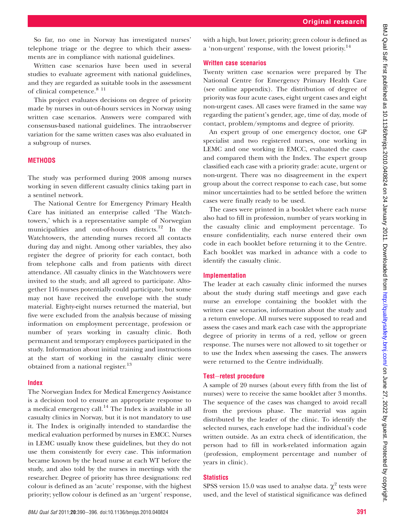So far, no one in Norway has investigated nurses' telephone triage or the degree to which their assessments are in compliance with national guidelines.

Written case scenarios have been used in several studies to evaluate agreement with national guidelines, and they are regarded as suitable tools in the assessment of clinical competence.<sup>8 11</sup>

This project evaluates decisions on degree of priority made by nurses in out-of-hours services in Norway using written case scenarios. Answers were compared with consensus-based national guidelines. The intraobserver variation for the same written cases was also evaluated in a subgroup of nurses.

## **METHODS**

The study was performed during 2008 among nurses working in seven different casualty clinics taking part in a sentinel network.

The National Centre for Emergency Primary Health Care has initiated an enterprise called 'The Watchtowers,' which is a representative sample of Norwegian municipalities and out-of-hours districts.<sup>12</sup> In the Watchtowers, the attending nurses record all contacts during day and night. Among other variables, they also register the degree of priority for each contact, both from telephone calls and from patients with direct attendance. All casualty clinics in the Watchtowers were invited to the study, and all agreed to participate. Altogether 116 nurses potentially could participate, but some may not have received the envelope with the study material. Eighty-eight nurses returned the material, but five were excluded from the analysis because of missing information on employment percentage, profession or number of years working in casualty clinic. Both permanent and temporary employees participated in the study. Information about initial training and instructions at the start of working in the casualty clinic were obtained from a national register.<sup>13</sup>

#### Index

The Norwegian Index for Medical Emergency Assistance is a decision tool to ensure an appropriate response to a medical emergency call.<sup>14</sup> The Index is available in all casualty clinics in Norway, but it is not mandatory to use it. The Index is originally intended to standardise the medical evaluation performed by nurses in EMCC. Nurses in LEMC usually know these guidelines, but they do not use them consistently for every case. This information became known by the head nurse at each WT before the study, and also told by the nurses in meetings with the researcher. Degree of priority has three designations: red colour is defined as an 'acute' response, with the highest priority; yellow colour is defined as an 'urgent' response,

with a high, but lower, priority; green colour is defined as a 'non-urgent' response, with the lowest priority.14

#### Written case scenarios

Twenty written case scenarios were prepared by The National Centre for Emergency Primary Health Care (see online appendix). The distribution of degree of priority was four acute cases, eight urgent cases and eight non-urgent cases. All cases were framed in the same way regarding the patient's gender, age, time of day, mode of contact, problem/symptoms and degree of priority.

An expert group of one emergency doctor, one GP specialist and two registered nurses, one working in LEMC and one working in EMCC, evaluated the cases and compared them with the Index. The expert group classified each case with a priority grade: acute, urgent or non-urgent. There was no disagreement in the expert group about the correct response to each case, but some minor uncertainties had to be settled before the written cases were finally ready to be used.

The cases were printed in a booklet where each nurse also had to fill in profession, number of years working in the casualty clinic and employment percentage. To ensure confidentiality, each nurse entered their own code in each booklet before returning it to the Centre. Each booklet was marked in advance with a code to identify the casualty clinic.

#### Implementation

The leader at each casualty clinic informed the nurses about the study during staff meetings and gave each nurse an envelope containing the booklet with the written case scenarios, information about the study and a return envelope. All nurses were supposed to read and assess the cases and mark each case with the appropriate degree of priority in terms of a red, yellow or green response. The nurses were not allowed to sit together or to use the Index when assessing the cases. The answers were returned to the Centre individually.

## Test-retest procedure

A sample of 20 nurses (about every fifth from the list of nurses) were to receive the same booklet after 3 months. The sequence of the cases was changed to avoid recall from the previous phase. The material was again distributed by the leader of the clinic. To identify the selected nurses, each envelope had the individual's code written outside. As an extra check of identification, the person had to fill in work-related information again (profession, employment percentage and number of years in clinic).

## **Statistics**

SPSS version 15.0 was used to analyse data.  $\chi^2$  tests were used, and the level of statistical significance was defined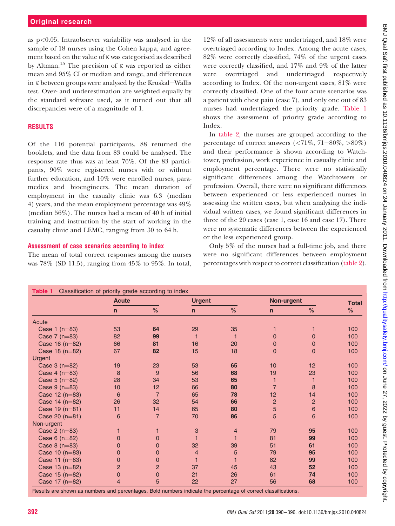as p<0.05. Intraobserver variability was analysed in the sample of 18 nurses using the Cohen kappa, and agreement based on the value of k was categorised as described by Altman.<sup>15</sup> The precision of  $\kappa$  was reported as either mean and 95% CI or median and range, and differences in  $\kappa$  between groups were analysed by the Kruskal–Wallis test. Over- and underestimation are weighted equally by the standard software used, as it turned out that all discrepancies were of a magnitude of 1.

## RESULTS

Of the 116 potential participants, 88 returned the booklets, and the data from 83 could be analysed. The response rate thus was at least 76%. Of the 83 participants, 90% were registered nurses with or without further education, and 10% were enrolled nurses, paramedics and bioengineers. The mean duration of employment in the casualty clinic was 6.3 (median 4) years, and the mean employment percentage was 49% (median 56%). The nurses had a mean of 40 h of initial training and instruction by the start of working in the casualty clinic and LEMC, ranging from 30 to 64 h.

## Assessment of case scenarios according to index

The mean of total correct responses among the nurses was 78% (SD 11.5), ranging from 45% to 95%. In total,

12% of all assessments were undertriaged, and 18% were overtriaged according to Index. Among the acute cases, 82% were correctly classified, 74% of the urgent cases were correctly classified, and 17% and 9% of the latter were overtriaged and undertriaged respectively according to Index. Of the non-urgent cases, 81% were correctly classified. One of the four acute scenarios was a patient with chest pain (case 7), and only one out of 83 nurses had undertriaged the priority grade. Table 1 shows the assessment of priority grade according to Index.

In table 2, the nurses are grouped according to the percentage of correct answers  $\left(\frac{51\%}{71\%}, \frac{71-80\%}{500}\right)$ and their performance is shown according to Watchtower, profession, work experience in casualty clinic and employment percentage. There were no statistically significant differences among the Watchtowers or profession. Overall, there were no significant differences between experienced or less experienced nurses in assessing the written cases, but when analysing the individual written cases, we found significant differences in three of the 20 cases (case 1, case 16 and case 17). There were no systematic differences between the experienced or the less experienced group.

Only 5% of the nurses had a full-time job, and there were no significant differences between employment percentages with respect to correct classification (table 2).

|                 | <b>Acute</b>   |                | <b>Urgent</b>  |      | Non-urgent     |                | <b>Total</b> |
|-----------------|----------------|----------------|----------------|------|----------------|----------------|--------------|
|                 | n              | %              | $\mathsf{n}$   | $\%$ | $\mathsf{n}$   | $\frac{9}{6}$  | $\%$         |
| Acute           |                |                |                |      |                |                |              |
| Case $1(n=83)$  | 53             | 64             | 29             | 35   |                |                | 100          |
| Case 7 (n=83)   | 82             | 99             | 1              | 1    | 0              | $\Omega$       | 100          |
| Case 16 (n=82)  | 66             | 81             | 16             | 20   | 0              | $\Omega$       | 100          |
| Case 18 (n=82)  | 67             | 82             | 15             | 18   | 0              | $\mathbf 0$    | 100          |
| <b>Urgent</b>   |                |                |                |      |                |                |              |
| Case 3 (n=82)   | 19             | 23             | 53             | 65   | 10             | 12             | 100          |
| Case $4$ (n=83) | 8              | 9              | 56             | 68   | 19             | 23             | 100          |
| Case $5$ (n=82) | 28             | 34             | 53             | 65   | 1              | 1              | 100          |
| Case $9(n=83)$  | 10             | 12             | 66             | 80   | $\overline{7}$ | 8              | 100          |
| Case 12 (n=83)  | 6              | $\overline{7}$ | 65             | 78   | 12             | 14             | 100          |
| Case 14 (n=82)  | 26             | 32             | 54             | 66   | $\overline{2}$ | $\overline{2}$ | 100          |
| Case 19 (n=81)  | 11             | 14             | 65             | 80   | 5              | 6              | 100          |
| Case 20 (n=81)  | 6              | $\overline{7}$ | 70             | 86   | 5              | 6              | 100          |
| Non-urgent      |                |                |                |      |                |                |              |
| Case 2 (n=83)   |                | 1              | 3              | 4    | 79             | 95             | 100          |
| Case $6$ (n=82) | 0              | $\mathbf 0$    |                | 1    | 81             | 99             | 100          |
| Case 8 (n=83)   | 0              | 0              | 32             | 39   | 51             | 61             | 100          |
| Case 10 (n=83)  | 0              | $\mathbf 0$    | $\overline{4}$ | 5    | 79             | 95             | 100          |
| Case 11 (n=83)  | $\overline{0}$ | $\overline{0}$ |                | 1    | 82             | 99             | 100          |
| Case 13 (n=82)  | $\overline{2}$ | $\overline{2}$ | 37             | 45   | 43             | 52             | 100          |
| Case 15 (n=82)  | $\overline{0}$ | $\overline{0}$ | 21             | 26   | 61             | 74             | 100          |
| Case 17 (n=82)  | 4              | 5              | 22             | 27   | 56             | 68             | 100          |

Results are shown as numbers and percentages. Bold numbers indicate the percentage of correct classifications.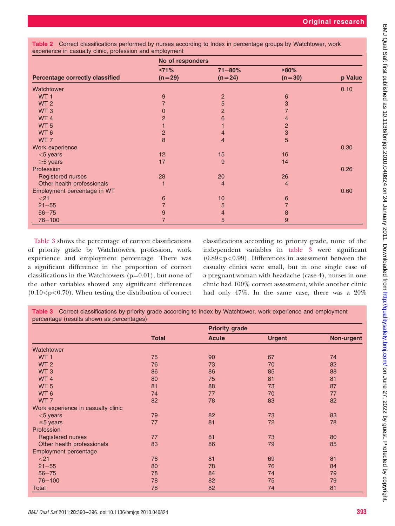Table 2 Correct classifications performed by nurses according to Index in percentage groups by Watchtower, work experience in casualty clinic, profession and employment

|                                        | No of responders |                         |                     |         |
|----------------------------------------|------------------|-------------------------|---------------------|---------|
| <b>Percentage correctly classified</b> | 1/3<br>$(n=29)$  | $71 - 80\%$<br>$(n=24)$ | $>80\%$<br>$(n=30)$ | p Value |
| Watchtower                             |                  |                         |                     | 0.10    |
| WT <sub>1</sub>                        | 9                | 2                       | 6                   |         |
| WT <sub>2</sub>                        | $\overline{7}$   | 5                       | 3                   |         |
| WT <sub>3</sub>                        | 0                | 2                       |                     |         |
| WT <sub>4</sub>                        | $\overline{2}$   | 6                       | 4                   |         |
| WT <sub>5</sub>                        |                  |                         | $\overline{2}$      |         |
| WT <sub>6</sub>                        | $\overline{2}$   | 4                       | 3                   |         |
| WT <sub>7</sub>                        | 8                | 4                       | 5                   |         |
| Work experience                        |                  |                         |                     | 0.30    |
| $<$ 5 years                            | 12               | 15                      | 16                  |         |
| $\geq$ 5 years                         | 17               | 9                       | 14                  |         |
| Profession                             |                  |                         |                     | 0.26    |
| <b>Registered nurses</b>               | 28               | 20                      | 26                  |         |
| Other health professionals             |                  | 4                       | $\overline{4}$      |         |
| Employment percentage in WT            |                  |                         |                     | 0.60    |
| $<$ 21                                 | 6                | 10                      | 6                   |         |
| $21 - 55$                              | $\overline{7}$   | 5                       | 7                   |         |
| $56 - 75$                              | 9                | 4                       | 8                   |         |
| $76 - 100$                             | $\overline{7}$   | 5                       | 9                   |         |

Table 3 shows the percentage of correct classifications of priority grade by Watchtowers, profession, work experience and employment percentage. There was a significant difference in the proportion of correct classifications in the Watchtowers ( $p=0.01$ ), but none of the other variables showed any significant differences  $(0.10 < p < 0.70)$ . When testing the distribution of correct

classifications according to priority grade, none of the independent variables in table 3 were significant  $(0.89 < p < 0.99)$ . Differences in assessment between the casualty clinics were small, but in one single case of a pregnant woman with headache (case 4), nurses in one clinic had 100% correct assessment, while another clinic had only 47%. In the same case, there was a 20%

Table 3 Correct classifications by priority grade according to Index by Watchtower, work experience and employment percentage (results shown as percentages)

|                                    |              | <b>Priority grade</b> |               |            |  |
|------------------------------------|--------------|-----------------------|---------------|------------|--|
|                                    | <b>Total</b> | <b>Acute</b>          | <b>Urgent</b> | Non-urgent |  |
| Watchtower                         |              |                       |               |            |  |
| WT <sub>1</sub>                    | 75           | 90                    | 67            | 74         |  |
| WT <sub>2</sub>                    | 76           | 73                    | 70            | 82         |  |
| WT <sub>3</sub>                    | 86           | 86                    | 85            | 88         |  |
| WT <sub>4</sub>                    | 80           | 75                    | 81            | 81         |  |
| WT <sub>5</sub>                    | 81           | 88                    | 73            | 87         |  |
| WT <sub>6</sub>                    | 74           | 77                    | 70            | 77         |  |
| WT <sub>7</sub>                    | 82           | 78                    | 83            | 82         |  |
| Work experience in casualty clinic |              |                       |               |            |  |
| $<$ 5 years                        | 79           | 82                    | 73            | 83         |  |
| $\geq$ 5 years                     | 77           | 81                    | 72            | 78         |  |
| Profession                         |              |                       |               |            |  |
| <b>Registered nurses</b>           | 77           | 81                    | 73            | 80         |  |
| Other health professionals         | 83           | 86                    | 79            | 85         |  |
| Employment percentage              |              |                       |               |            |  |
| $<$ 21                             | 76           | 81                    | 69            | 81         |  |
| $21 - 55$                          | 80           | 78                    | 76            | 84         |  |
| $56 - 75$                          | 78           | 84                    | 74            | 79         |  |
| $76 - 100$                         | 78           | 82                    | 75            | 79         |  |
| Total                              | 78           | 82                    | 74            | 81         |  |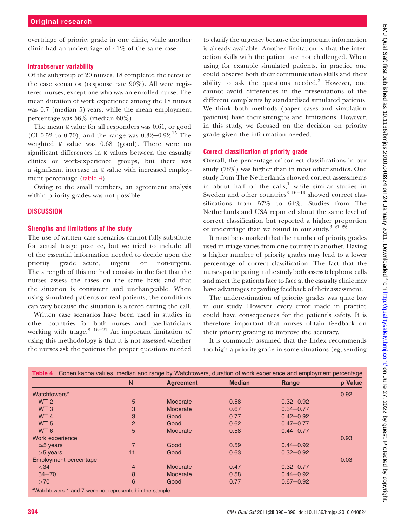overtriage of priority grade in one clinic, while another clinic had an undertriage of 41% of the same case.

#### Intraobserver variability

Of the subgroup of 20 nurses, 18 completed the retest of the case scenarios (response rate 90%). All were registered nurses, except one who was an enrolled nurse. The mean duration of work experience among the 18 nurses was 6.7 (median 5) years, while the mean employment percentage was 56% (median 60%).

The mean  $\kappa$  value for all responders was 0.61, or good (CI 0.52 to 0.70), and the range was  $0.32-0.92$ <sup>15</sup> The weighted k value was 0.68 (good). There were no significant differences in k values between the casualty clinics or work-experience groups, but there was a significant increase in k value with increased employment percentage (table 4).

Owing to the small numbers, an agreement analysis within priority grades was not possible.

## **DISCUSSION**

## Strengths and limitations of the study

The use of written case scenarios cannot fully substitute for actual triage practice, but we tried to include all of the essential information needed to decide upon the priority grade—acute, urgent or non-urgent. The strength of this method consists in the fact that the nurses assess the cases on the same basis and that the situation is consistent and unchangeable. When using simulated patients or real patients, the conditions can vary because the situation is altered during the call.

Written case scenarios have been used in studies in other countries for both nurses and paediatricians working with triage. $8^{16-21}$  An important limitation of using this methodology is that it is not assessed whether the nurses ask the patients the proper questions needed

to clarify the urgency because the important information is already available. Another limitation is that the interaction skills with the patient are not challenged. When using for example simulated patients, in practice one could observe both their communication skills and their ability to ask the questions needed. $3$  However, one cannot avoid differences in the presentations of the different complaints by standardised simulated patients. We think both methods (paper cases and simulation patients) have their strengths and limitations. However, in this study, we focused on the decision on priority grade given the information needed.

## Correct classification of priority grade

Overall, the percentage of correct classifications in our study (78%) was higher than in most other studies. One study from The Netherlands showed correct assessments in about half of the calls, $\frac{1}{1}$  while similar studies in Sweden and other countries<sup>3</sup>  $16-19$  showed correct classifications from 57% to 64%. Studies from The Netherlands and USA reported about the same level of correct classification but reported a higher proportion of undertriage than we found in our study.<sup>3 21 22</sup>

It must be remarked that the number of priority grades used in triage varies from one country to another. Having a higher number of priority grades may lead to a lower percentage of correct classification. The fact that the nurses participatingin the study both assess telephone calls and meet the patients face to face at the casualty clinic may have advantages regarding feedback of their assessment.

The underestimation of priority grades was quite low in our study. However, every error made in practice could have consequences for the patient's safety. It is therefore important that nurses obtain feedback on their priority grading to improve the accuracy.

It is commonly assumed that the Index recommends too high a priority grade in some situations (eg, sending

|                       | N              | <b>Agreement</b> | <b>Median</b> | Range         | p Value |
|-----------------------|----------------|------------------|---------------|---------------|---------|
| Watchtowers*          |                |                  |               |               | 0.92    |
| WT <sub>2</sub>       | 5              | Moderate         | 0.58          | $0.32 - 0.92$ |         |
| WT <sub>3</sub>       | 3              | Moderate         | 0.67          | $0.34 - 0.77$ |         |
| WT <sub>4</sub>       | 3              | Good             | 0.77          | $0.42 - 0.92$ |         |
| WT <sub>5</sub>       | $\overline{2}$ | Good             | 0.62          | $0.47 - 0.77$ |         |
| WT <sub>6</sub>       | 5              | Moderate         | 0.58          | $0.44 - 0.77$ |         |
| Work experience       |                |                  |               |               | 0.93    |
| $\leq$ 5 years        | $\overline{7}$ | Good             | 0.59          | $0.44 - 0.92$ |         |
| $>5$ years            | 11             | Good             | 0.63          | $0.32 - 0.92$ |         |
| Employment percentage |                |                  |               |               | 0.03    |
| $34$                  | $\overline{4}$ | Moderate         | 0.47          | $0.32 - 0.77$ |         |
| $34 - 70$             | 8              | Moderate         | 0.58          | $0.44 - 0.92$ |         |
| >70                   | 6              | Good             | 0.77          | $0.67 - 0.92$ |         |

\*Watchtowers 1 and 7 were not represented in the sample.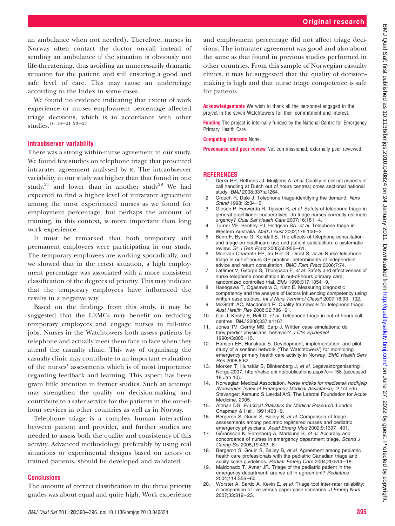an ambulance when not needed). Therefore, nurses in Norway often contact the doctor on-call instead of sending an ambulance if the situation is obviously not life-threatening, thus avoiding an unnecessarily dramatic situation for the patient, and still ensuring a good and safe level of care. This may cause an undertriage according to the Index in some cases.

We found no evidence indicating that extent of work experience or nurses employment percentage affected triage decisions, which is in accordance with other studies.<sup>16</sup> <sup>18-21</sup> <sup>23-27</sup>

#### Intraobserver variability

There was a strong within-nurse agreement in our study. We found few studies on telephone triage that presented intrarater agreement analysed by k. The intraobserver variability in our study was higher than that found in one study, $21$  and lower than in another study $28$  We had expected to find a higher level of intrarater agreement among the most experienced nurses as we found for employment percentage, but perhaps the amount of training, in this context, is more important than long work experience.

It must be remarked that both temporary and permanent employees were participating in our study. The temporary employees are working sporadically, and we showed that in the retest situation, a high employment percentage was associated with a more consistent classification of the degrees of priority. This may indicate that the temporary employees have influenced the results in a negative way.

Based on the findings from this study, it may be suggested that the LEMCs may benefit on reducing temporary employees and engage nurses in full-time jobs. Nurses in the Watchtowers both assess patients by telephone and actually meet them face to face when they attend the casualty clinic. This way of organising the casualty clinic may contribute to an important evaluation of the nurses' assessments which is of most importance regarding feedback and learning. This aspect has been given little attention in former studies. Such an attempt may strengthen the quality on decision-making and contribute to a safer service for the patients in the out-ofhour services in other countries as well as in Norway.

Telephone triage is a complex human interaction between patient and provider, and further studies are needed to assess both the quality and consistency of this activity. Advanced methodology, preferably by using real situations or experimental designs based on actors or trained patients, should be developed and validated.

#### **Conclusions**

The amount of correct classification in the three priority grades was about equal and quite high. Work experience and employment percentage did not affect triage decisions. The intrarater agreement was good and also about the same as that found in previous studies performed in other countries. From this sample of Norwegian casualty clinics, it may be suggested that the quality of decisionmaking is high and that nurse triage competence is safe for patients.

Acknowledgements We wish to thank all the personnel engaged in the project in the seven Watchtowers for their commitment and interest.

Funding The project is internally funded by the National Centre for Emergency Primary Health Care.

Competing interests None.

Provenance and peer review Not commissioned; externally peer reviewed.

#### **REFERENCES**

- 1. Derkx HP, Rethans JJ, Muijtjens A, et al. Quality of clinical aspects of call handling at Dutch out of hours centres; cross sectional national study. BMJ 2008;337:a1264.
- 2. Crouch R, Dale J. Telephone triage-identifying the demand. Nurs Stand 1998;12:34-5.
- 3. Giesen P, Ferwerda R, Tijssen R, et al. Safety of telephone triage in general practitioner cooperatives: do triage nurses correctly estimate urgency? Qual Saf Health Care 2007;16:181-4.
- 4. Turner VF, Bentley PJ, Hodgson SA, et al. Telephone triage in Western Australia. Med J Aust 2002;176:100-3.
- 5. Bunn F, Byrne G, Kendall S. The effects of telephone consultation and triage on healthcare use and patient satisfaction: a systematic review. Br J Gen Pract 2005;55:956-61.
- 6. Moll van Charante EP, ter Riet G, Drost S, et al. Nurse telephone triage in out-of-hours GP practice: determinants of independent advice and return consultation. BMC Fam Pract 2006;7:74.
- 7. Lattimer V, George S, Thompson F, et al. Safety and effectiveness of nurse telephone consultation in out-of-hours primary care; randomized controlled trial. BMJ 1998;317:1054-9.
- 8. Hasegawa T, Ogasawara C, Katz E. Measuring diagnostic competency and the analysis of factors influencing competency using written case studies. Int J Nurs Terminol Classif 2007;18:93-102.
- McGrath AC, Macdonald R. Quality framework for telephone triage. Aust Health Rev 2008;32:786-91.
- 10. Car J, Koshy E, Bell D, et al. Telephone triage in out of hours call centres. BMJ 2008;337:a1167.
- 11. Jones TV, Gerrity MS, Earp J. Written case simulations: do they predict physicians' behavior? J Clin Epidemiol 1990;43:805-15.
- 12. Hansen EH, Hunskaar S. Development, implementation, and pilot study of a sentinel network ('The Watchtowers') for monitoring emergency primary health care activity in Norway. BMC Health Serv Res 2008;8:62.
- 13. Morken T, Hunskår S, Blinkenberg J, et al. Legevaktorganisering i Norge-2007. http://helse.uni.no/publications.aspx?ci=158 (accessed 18 Jan 10).
- 14. Norwegian Medical Association. Norsk indeks for medisinsk nødhjelp (Norwegian Index of Emergency Medical Assistance). 2.1st edn. Stavanger: Asmund S Lærdal A/S, The Laerdal Foundation for Acute Medicine, 2005.
- 15. Altman DG. Practical Statistics for Medical Research. London: Chapman & Hall, 1991:403-9.
- 16. Bergeron S, Gouin S, Bailey B, et al. Comparison of triage assessments among pediatric registered nurses and pediatric emergency physicians. Acad Emerg Med 2002;9:1397-401.
- 17. Göransson K, Ehrenberg A, Marklund B, et al. Accuracy and concordance of nurses in emergency department triage. Scand J Caring Sci 2005;19:432-8.
- 18. Bergeron S, Gouin S, Bailey B, et al. Agreement among pediatric health care professionals with the pediatric Canadian triage and acuity scale guidelines. Pediatr Emerg Care 2004;20:514-18.
- 19. Maldonado T, Avner JR. Triage of the pediatric patient in the emergency department: are we all in agreement? Pediatrics 2004;114:356-60.
- 20. Worster A, Sardo A, Kevin E, et al. Triage tool inter-rater reliability: a comparison of live versus paper case scenarios. J Emerg Nurs 2007;33:319-23.